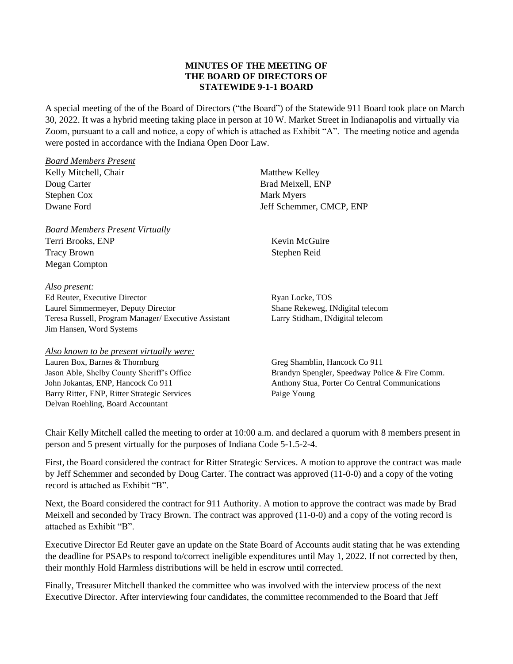### **MINUTES OF THE MEETING OF THE BOARD OF DIRECTORS OF STATEWIDE 9-1-1 BOARD**

A special meeting of the of the Board of Directors ("the Board") of the Statewide 911 Board took place on March 30, 2022. It was a hybrid meeting taking place in person at 10 W. Market Street in Indianapolis and virtually via Zoom, pursuant to a call and notice, a copy of which is attached as Exhibit "A". The meeting notice and agenda were posted in accordance with the Indiana Open Door Law.

| <b>Board Members Present</b>                                                                                 |                                                |  |  |  |  |  |  |  |
|--------------------------------------------------------------------------------------------------------------|------------------------------------------------|--|--|--|--|--|--|--|
| Kelly Mitchell, Chair                                                                                        | <b>Matthew Kelley</b>                          |  |  |  |  |  |  |  |
| Doug Carter                                                                                                  | Brad Meixell, ENP                              |  |  |  |  |  |  |  |
| Stephen Cox                                                                                                  | Mark Myers                                     |  |  |  |  |  |  |  |
| Dwane Ford                                                                                                   | Jeff Schemmer, CMCP, ENP                       |  |  |  |  |  |  |  |
| <b>Board Members Present Virtually</b>                                                                       |                                                |  |  |  |  |  |  |  |
| Terri Brooks, ENP                                                                                            | Kevin McGuire                                  |  |  |  |  |  |  |  |
| <b>Tracy Brown</b>                                                                                           | Stephen Reid                                   |  |  |  |  |  |  |  |
| Megan Compton                                                                                                |                                                |  |  |  |  |  |  |  |
| Also present:                                                                                                |                                                |  |  |  |  |  |  |  |
| $\mathbf{F} \cdot \mathbf{D}$ . $\mathbf{F}$ . $\mathbf{C} \cdot \mathbf{D}$ . $\mathbf{D} \cdot \mathbf{D}$ | $\mathbf{n}$ . I.I. $\mathbf{m}\cap\mathbf{c}$ |  |  |  |  |  |  |  |

Ed Reuter, Executive Director Laurel Simmermeyer, Deputy Director Teresa Russell, Program Manager/ Executive Assistant Jim Hansen, Word Systems

#### *Also known to be present virtually were:*

Lauren Box, Barnes & Thornburg Jason Able, Shelby County Sheriff's Office John Jokantas, ENP, Hancock Co 911 Barry Ritter, ENP, Ritter Strategic Services Delvan Roehling, Board Accountant

Ryan Locke, TOS Shane Rekeweg, INdigital telecom Larry Stidham, INdigital telecom

Greg Shamblin, Hancock Co 911 Brandyn Spengler, Speedway Police & Fire Comm. Anthony Stua, Porter Co Central Communications Paige Young

Chair Kelly Mitchell called the meeting to order at 10:00 a.m. and declared a quorum with 8 members present in person and 5 present virtually for the purposes of Indiana Code 5-1.5-2-4.

First, the Board considered the contract for Ritter Strategic Services. A motion to approve the contract was made by Jeff Schemmer and seconded by Doug Carter. The contract was approved (11-0-0) and a copy of the voting record is attached as Exhibit "B".

Next, the Board considered the contract for 911 Authority. A motion to approve the contract was made by Brad Meixell and seconded by Tracy Brown. The contract was approved (11-0-0) and a copy of the voting record is attached as Exhibit "B".

Executive Director Ed Reuter gave an update on the State Board of Accounts audit stating that he was extending the deadline for PSAPs to respond to/correct ineligible expenditures until May 1, 2022. If not corrected by then, their monthly Hold Harmless distributions will be held in escrow until corrected.

Finally, Treasurer Mitchell thanked the committee who was involved with the interview process of the next Executive Director. After interviewing four candidates, the committee recommended to the Board that Jeff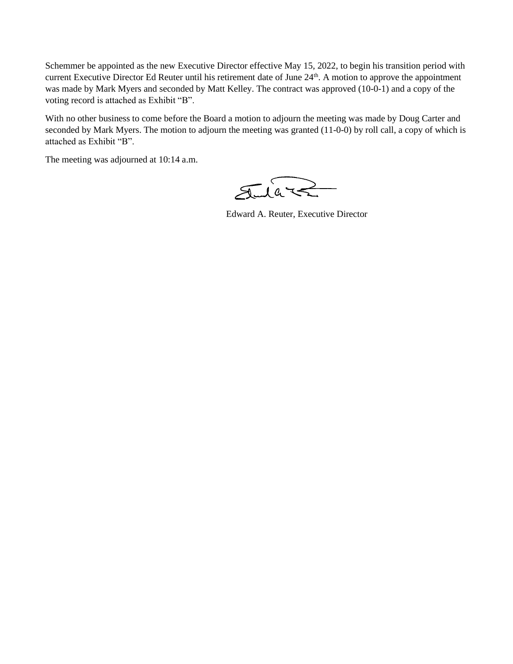Schemmer be appointed as the new Executive Director effective May 15, 2022, to begin his transition period with current Executive Director Ed Reuter until his retirement date of June 24<sup>th</sup>. A motion to approve the appointment was made by Mark Myers and seconded by Matt Kelley. The contract was approved (10-0-1) and a copy of the voting record is attached as Exhibit "B".

With no other business to come before the Board a motion to adjourn the meeting was made by Doug Carter and seconded by Mark Myers. The motion to adjourn the meeting was granted (11-0-0) by roll call, a copy of which is attached as Exhibit "B".

The meeting was adjourned at 10:14 a.m.

Jular

Edward A. Reuter, Executive Director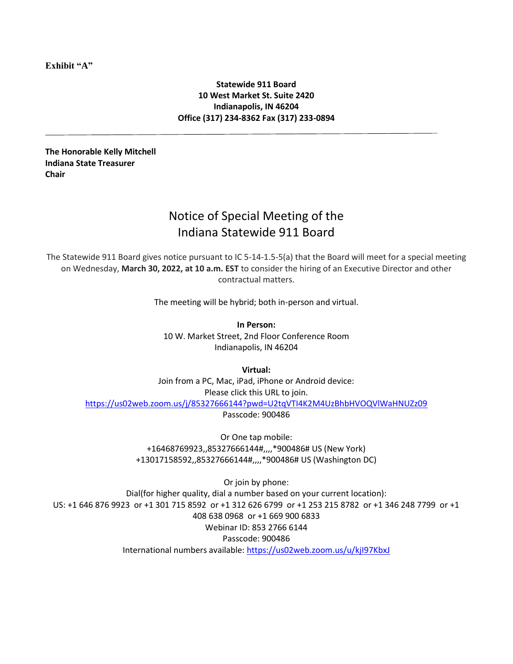**Exhibit "A"**

### **Statewide 911 Board 10 West Market St. Suite 2420 Indianapolis, IN 46204 Office (317) 234-8362 Fax (317) 233-0894**

**The Honorable Kelly Mitchell Indiana State Treasurer Chair**

# Notice of Special Meeting of the Indiana Statewide 911 Board

The Statewide 911 Board gives notice pursuant to IC 5-14-1.5-5(a) that the Board will meet for a special meeting on Wednesday, **March 30, 2022, at 10 a.m. EST** to consider the hiring of an Executive Director and other contractual matters.

The meeting will be hybrid; both in-person and virtual.

**In Person:** 10 W. Market Street, 2nd Floor Conference Room Indianapolis, IN 46204

**Virtual:**

Join from a PC, Mac, iPad, iPhone or Android device: Please click this URL to join. <https://us02web.zoom.us/j/85327666144?pwd=U2tqVTI4K2M4UzBhbHVOQVlWaHNUZz09> Passcode: 900486

> Or One tap mobile: +16468769923,,85327666144#,,,,\*900486# US (New York) +13017158592,,85327666144#,,,,\*900486# US (Washington DC)

Or join by phone: Dial(for higher quality, dial a number based on your current location): US: +1 646 876 9923 or +1 301 715 8592 or +1 312 626 6799 or +1 253 215 8782 or +1 346 248 7799 or +1 408 638 0968 or +1 669 900 6833 Webinar ID: 853 2766 6144 Passcode: 900486 International numbers available: https://us02web.zoom.us/u/kjl97KbxJ